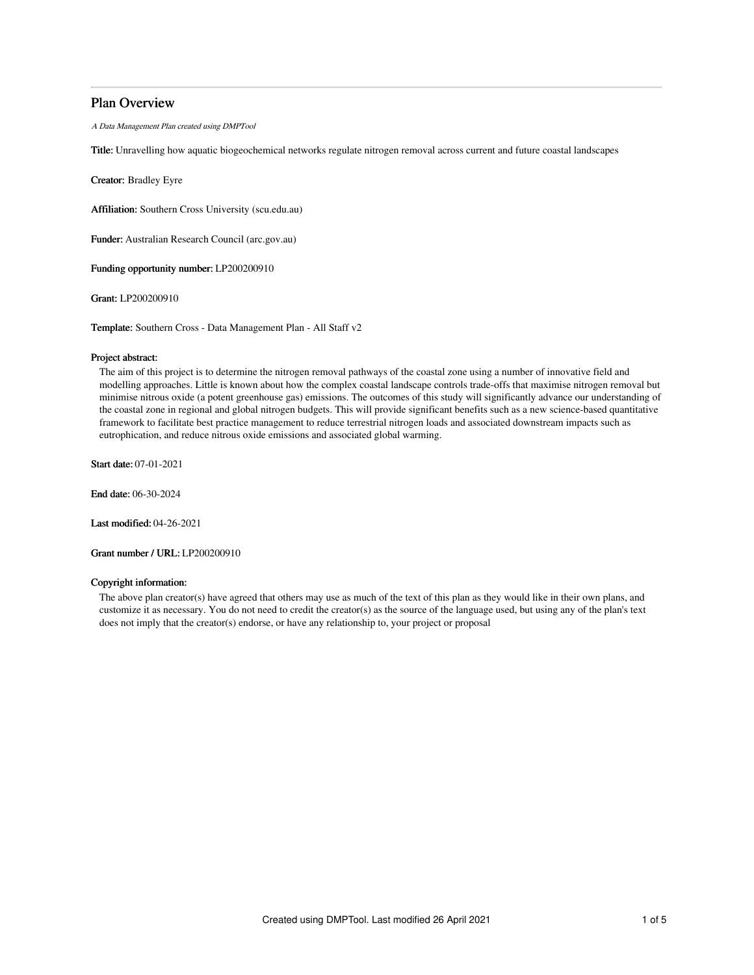## Plan Overview

A Data Management Plan created using DMPTool

Title: Unravelling how aquatic biogeochemical networks regulate nitrogen removal across current and future coastal landscapes

Creator: Bradley Eyre

Affiliation: Southern Cross University (scu.edu.au)

Funder: Australian Research Council (arc.gov.au)

Funding opportunity number: LP200200910

Grant: LP200200910

Template: Southern Cross - Data Management Plan - All Staff v2

## Project abstract:

The aim of this project is to determine the nitrogen removal pathways of the coastal zone using a number of innovative field and modelling approaches. Little is known about how the complex coastal landscape controls trade-offs that maximise nitrogen removal but minimise nitrous oxide (a potent greenhouse gas) emissions. The outcomes of this study will significantly advance our understanding of the coastal zone in regional and global nitrogen budgets. This will provide significant benefits such as a new science-based quantitative framework to facilitate best practice management to reduce terrestrial nitrogen loads and associated downstream impacts such as eutrophication, and reduce nitrous oxide emissions and associated global warming.

Start date: 07-01-2021

End date: 06-30-2024

Last modified: 04-26-2021

Grant number / URL: LP200200910

#### Copyright information:

The above plan creator(s) have agreed that others may use as much of the text of this plan as they would like in their own plans, and customize it as necessary. You do not need to credit the creator(s) as the source of the language used, but using any of the plan's text does not imply that the creator(s) endorse, or have any relationship to, your project or proposal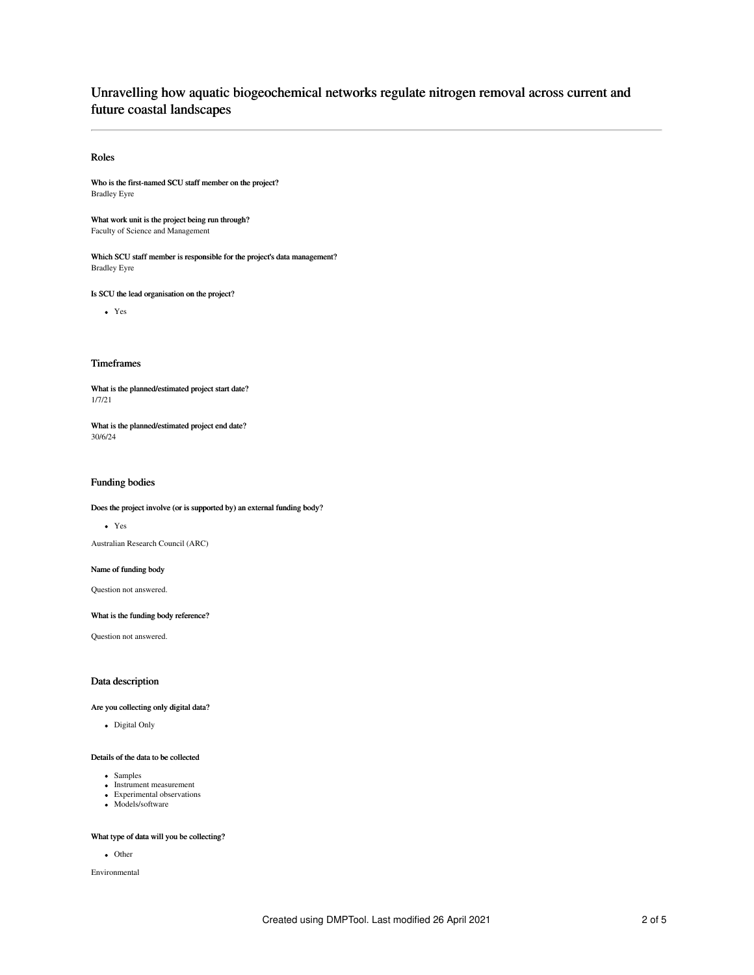## Unravelling how aquatic biogeochemical networks regulate nitrogen removal across current and future coastal landscapes

#### Roles

Who is the first-named SCU staff member on the project? Bradley Eyre

What work unit is the project being run through? Faculty of Science and Management

Which SCU staff member is responsible for the project's data management? Bradley Eyre

Is SCU the lead organisation on the project?

Yes

#### Timeframes

What is the planned/estimated project start date? 1/7/21

What is the planned/estimated project end date? 30/6/24

## Funding bodies

## Does the project involve (or is supported by) an external funding body?

Yes

Australian Research Council (ARC)

#### Name of funding body

Question not answered.

What is the funding body reference?

Question not answered.

#### Data description

#### Are you collecting only digital data?

Digital Only

#### Details of the data to be collected

- Samples
- Instrument measurement
- Experimental observations Models/software
- 

#### What type of data will you be collecting?

• Other

Environmental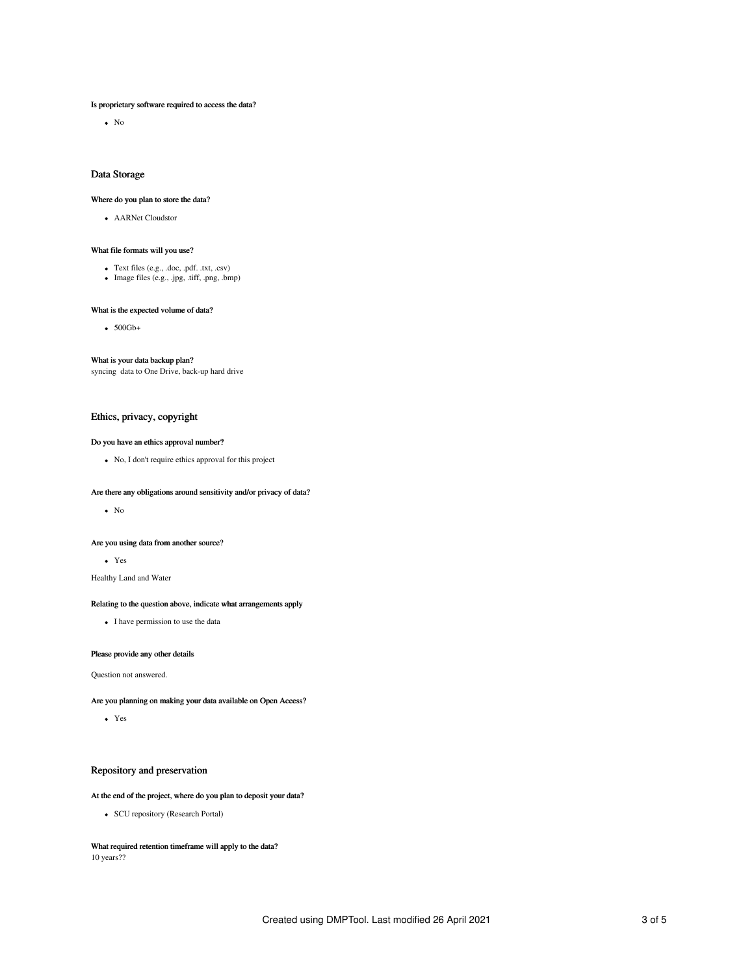#### Is proprietary software required to access the data?

 $\bullet$  No

#### Data Storage

#### Where do you plan to store the data?

AARNet Cloudstor

#### What file formats will you use?

- 
- Text files (e.g., .doc, .pdf. .txt, .csv) Image files (e.g., .jpg, .tiff, .png, .bmp)

#### What is the expected volume of data?

 $\bullet$  500Gb+

#### What is your data backup plan?

syncing data to One Drive, back-up hard drive

#### Ethics, privacy, copyright

#### Do you have an ethics approval number?

No, I don't require ethics approval for this project

#### Are there any obligations around sensitivity and/or privacy of data?

 $\bullet$  No

#### Are you using data from another source?

Yes

Healthy Land and Water

#### Relating to the question above, indicate what arrangements apply

• I have permission to use the data

#### Please provide any other details

Question not answered.

Are you planning on making your data available on Open Access?

Yes

## Repository and preservation

#### At the end of the project, where do you plan to deposit your data?

• SCU repository (Research Portal)

What required retention timeframe will apply to the data? 10 years??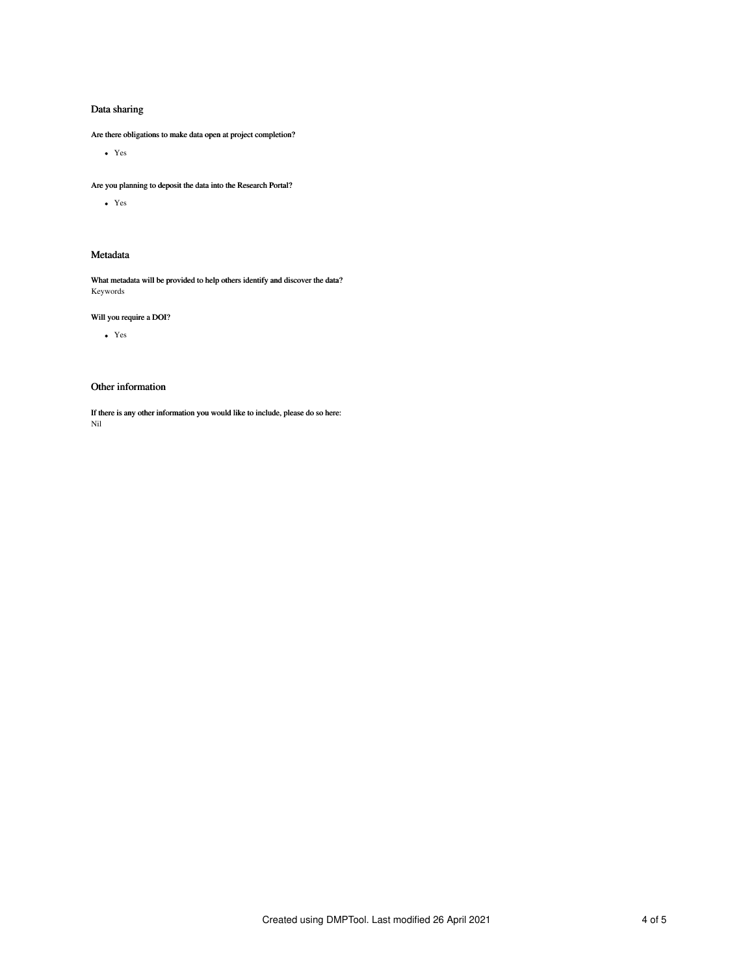## Data sharing

Are there obligations to make data open at project completion?

Yes

Are you planning to deposit the data into the Research Portal?

Yes

## Metadata

What metadata will be provided to help others identify and discover the data? Keywords

## Will you require a DOI?

Yes

## Other information

If there is any other information you would like to include, please do so here: Nil